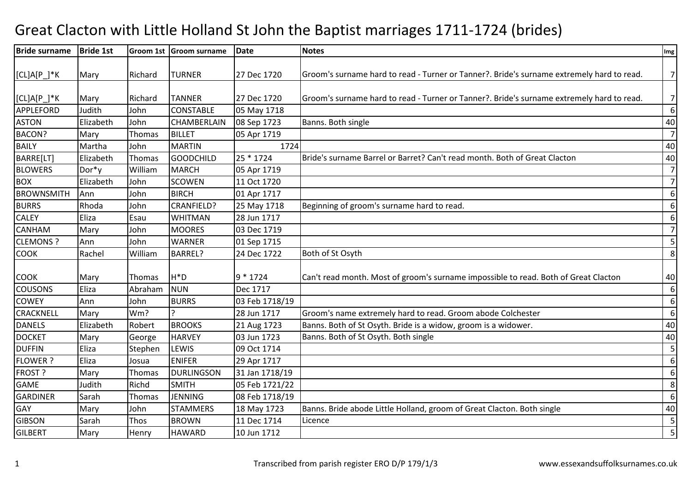## Great Clacton with Little Holland St John the Baptist marriages 1711-1724 (brides)

| <b>Bride surname</b> | <b>Bride 1st</b> |         | Groom 1st Groom surname | <b>Date</b>    | <b>Notes</b>                                                                              | Img              |
|----------------------|------------------|---------|-------------------------|----------------|-------------------------------------------------------------------------------------------|------------------|
|                      |                  |         |                         |                |                                                                                           |                  |
| $[CL]A[P_]*K$        | Mary             | Richard | <b>TURNER</b>           | 27 Dec 1720    | Groom's surname hard to read - Turner or Tanner?. Bride's surname extremely hard to read. | 7 <sup>1</sup>   |
|                      |                  |         |                         |                |                                                                                           |                  |
| $[CL]A[P_]*K$        | Mary             | Richard | <b>TANNER</b>           | 27 Dec 1720    | Groom's surname hard to read - Turner or Tanner?. Bride's surname extremely hard to read. | 7 <sup>1</sup>   |
| <b>APPLEFORD</b>     | Judith           | John    | <b>CONSTABLE</b>        | 05 May 1718    |                                                                                           | 6                |
| <b>ASTON</b>         | Elizabeth        | John    | <b>CHAMBERLAIN</b>      | 08 Sep 1723    | Banns. Both single                                                                        | 40               |
| <b>BACON?</b>        | Mary             | Thomas  | <b>BILLET</b>           | 05 Apr 1719    |                                                                                           | 7                |
| <b>BAILY</b>         | Martha           | John    | <b>MARTIN</b>           | 1724           |                                                                                           | 40               |
| BARRE[LT]            | Elizabeth        | Thomas  | <b>GOODCHILD</b>        | 25 * 1724      | Bride's surname Barrel or Barret? Can't read month. Both of Great Clacton                 | 40               |
| <b>BLOWERS</b>       | Dor*y            | William | <b>MARCH</b>            | 05 Apr 1719    |                                                                                           | $\overline{7}$   |
| <b>BOX</b>           | Elizabeth        | John    | <b>SCOWEN</b>           | 11 Oct 1720    |                                                                                           | $\overline{7}$   |
| <b>BROWNSMITH</b>    | Ann              | John    | <b>BIRCH</b>            | 01 Apr 1717    |                                                                                           | 6                |
| <b>BURRS</b>         | Rhoda            | John    | <b>CRANFIELD?</b>       | 25 May 1718    | Beginning of groom's surname hard to read.                                                | 6                |
| <b>CALEY</b>         | Eliza            | Esau    | <b>WHITMAN</b>          | 28 Jun 1717    |                                                                                           | 6                |
| <b>CANHAM</b>        | Mary             | John    | <b>MOORES</b>           | 03 Dec 1719    |                                                                                           | $\overline{7}$   |
| <b>CLEMONS?</b>      | Ann              | John    | WARNER                  | 01 Sep 1715    |                                                                                           | $\overline{5}$   |
| <b>COOK</b>          | Rachel           | William | BARREL?                 | 24 Dec 1722    | Both of St Osyth                                                                          | $8\phantom{1}$   |
|                      |                  |         |                         |                |                                                                                           |                  |
| <b>COOK</b>          | Mary             | Thomas  | H <sup>*</sup> D        | 9 * 1724       | Can't read month. Most of groom's surname impossible to read. Both of Great Clacton       | 40               |
| <b>COUSONS</b>       | Eliza            | Abraham | <b>NUN</b>              | Dec 1717       |                                                                                           | 6                |
| <b>COWEY</b>         | Ann              | John    | <b>BURRS</b>            | 03 Feb 1718/19 |                                                                                           | $\boldsymbol{6}$ |
| <b>CRACKNELL</b>     | Mary             | Wm?     |                         | 28 Jun 1717    | Groom's name extremely hard to read. Groom abode Colchester                               | $\boldsymbol{6}$ |
| <b>DANELS</b>        | Elizabeth        | Robert  | <b>BROOKS</b>           | 21 Aug 1723    | Banns. Both of St Osyth. Bride is a widow, groom is a widower.                            | 40               |
| <b>DOCKET</b>        | Mary             | George  | <b>HARVEY</b>           | 03 Jun 1723    | Banns. Both of St Osyth. Both single                                                      | 40               |
| <b>DUFFIN</b>        | Eliza            | Stephen | LEWIS                   | 09 Oct 1714    |                                                                                           | $\overline{5}$   |
| <b>FLOWER?</b>       | Eliza            | Josua   | <b>ENIFER</b>           | 29 Apr 1717    |                                                                                           | 6                |
| FROST ?              | Mary             | Thomas  | <b>DURLINGSON</b>       | 31 Jan 1718/19 |                                                                                           | 6                |
| <b>GAME</b>          | Judith           | Richd   | <b>SMITH</b>            | 05 Feb 1721/22 |                                                                                           | $\,8$            |
| <b>GARDINER</b>      | Sarah            | Thomas  | <b>JENNING</b>          | 08 Feb 1718/19 |                                                                                           | 6                |
| GAY                  | Mary             | John    | <b>STAMMERS</b>         | 18 May 1723    | Banns. Bride abode Little Holland, groom of Great Clacton. Both single                    | 40               |
| <b>GIBSON</b>        | Sarah            | Thos    | <b>BROWN</b>            | 11 Dec 1714    | Licence                                                                                   | $\overline{5}$   |
| <b>GILBERT</b>       | Mary             | Henry   | <b>HAWARD</b>           | 10 Jun 1712    |                                                                                           | 5                |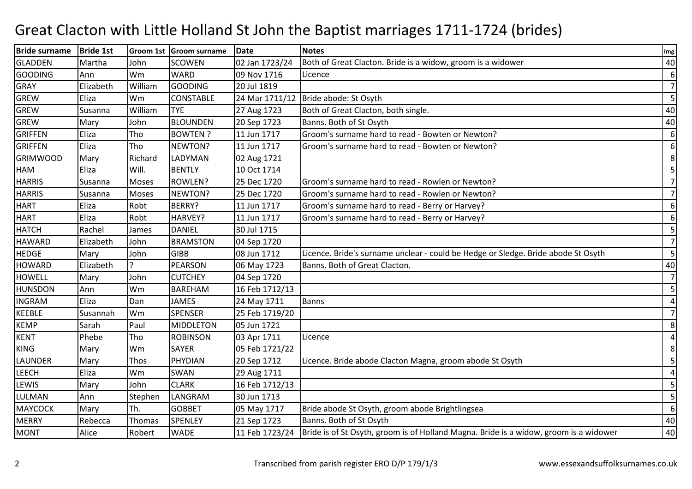## Great Clacton with Little Holland St John the Baptist marriages 1711-1724 (brides)

| <b>Bride surname</b> | <b>Bride 1st</b> |         | Groom 1st Groom surname | Date           | <b>Notes</b>                                                                          | Img            |
|----------------------|------------------|---------|-------------------------|----------------|---------------------------------------------------------------------------------------|----------------|
| <b>GLADDEN</b>       | Martha           | John    | <b>SCOWEN</b>           | 02 Jan 1723/24 | Both of Great Clacton. Bride is a widow, groom is a widower                           | 40             |
| <b>GOODING</b>       | Ann              | Wm      | <b>WARD</b>             | 09 Nov 1716    | Licence                                                                               | 6              |
| <b>GRAY</b>          | Elizabeth        | William | <b>GOODING</b>          | 20 Jul 1819    |                                                                                       | $\overline{7}$ |
| GREW                 | Eliza            | Wm      | <b>CONSTABLE</b>        | 24 Mar 1711/12 | Bride abode: St Osyth                                                                 | 5              |
| GREW                 | Susanna          | William | <b>TYE</b>              | 27 Aug 1723    | Both of Great Clacton, both single.                                                   | 40             |
| <b>GREW</b>          | Mary             | John    | <b>BLOUNDEN</b>         | 20 Sep 1723    | Banns. Both of St Osyth                                                               | 40             |
| <b>GRIFFEN</b>       | Eliza            | Tho     | <b>BOWTEN?</b>          | 11 Jun 1717    | Groom's surname hard to read - Bowten or Newton?                                      | 6              |
| <b>GRIFFEN</b>       | Eliza            | Tho     | NEWTON?                 | 11 Jun 1717    | Groom's surname hard to read - Bowten or Newton?                                      | 6              |
| <b>GRIMWOOD</b>      | Mary             | Richard | LADYMAN                 | 02 Aug 1721    |                                                                                       | 8              |
| HAM                  | Eliza            | Will.   | <b>BENTLY</b>           | 10 Oct 1714    |                                                                                       | 5              |
| <b>HARRIS</b>        | Susanna          | Moses   | ROWLEN?                 | 25 Dec 1720    | Groom's surname hard to read - Rowlen or Newton?                                      | $\overline{7}$ |
| <b>HARRIS</b>        | Susanna          | Moses   | NEWTON?                 | 25 Dec 1720    | Groom's surname hard to read - Rowlen or Newton?                                      | $\overline{7}$ |
| <b>HART</b>          | Eliza            | Robt    | BERRY?                  | 11 Jun 1717    | Groom's surname hard to read - Berry or Harvey?                                       | 6              |
| <b>HART</b>          | Eliza            | Robt    | HARVEY?                 | 11 Jun 1717    | Groom's surname hard to read - Berry or Harvey?                                       | 6              |
| <b>HATCH</b>         | Rachel           | James   | <b>DANIEL</b>           | 30 Jul 1715    |                                                                                       | 5              |
| <b>HAWARD</b>        | Elizabeth        | John    | <b>BRAMSTON</b>         | 04 Sep 1720    |                                                                                       | $\overline{7}$ |
| <b>HEDGE</b>         | Mary             | John    | <b>GIBB</b>             | 08 Jun 1712    | Licence. Bride's surname unclear - could be Hedge or Sledge. Bride abode St Osyth     | 5              |
| <b>HOWARD</b>        | Elizabeth        |         | <b>PEARSON</b>          | 06 May 1723    | Banns. Both of Great Clacton.                                                         | 40             |
| <b>HOWELL</b>        | Mary             | John    | <b>CUTCHEY</b>          | 04 Sep 1720    |                                                                                       | $\overline{7}$ |
| <b>HUNSDON</b>       | Ann              | Wm      | <b>BAREHAM</b>          | 16 Feb 1712/13 |                                                                                       | 5              |
| <b>INGRAM</b>        | Eliza            | Dan     | <b>JAMES</b>            | 24 May 1711    | <b>Banns</b>                                                                          | 4              |
| <b>KEEBLE</b>        | Susannah         | Wm      | <b>SPENSER</b>          | 25 Feb 1719/20 |                                                                                       | 7              |
| <b>KEMP</b>          | Sarah            | Paul    | <b>MIDDLETON</b>        | 05 Jun 1721    |                                                                                       | 8              |
| <b>KENT</b>          | Phebe            | Tho     | <b>ROBINSON</b>         | 03 Apr 1711    | Licence                                                                               | $\overline{4}$ |
| <b>KING</b>          | Mary             | Wm      | <b>SAYER</b>            | 05 Feb 1721/22 |                                                                                       | 8              |
| LAUNDER              | Mary             | Thos    | PHYDIAN                 | 20 Sep 1712    | Licence. Bride abode Clacton Magna, groom abode St Osyth                              | 5              |
| <b>LEECH</b>         | Eliza            | Wm      | SWAN                    | 29 Aug 1711    |                                                                                       | $\overline{4}$ |
| LEWIS                | Mary             | John    | <b>CLARK</b>            | 16 Feb 1712/13 |                                                                                       | 5              |
| LULMAN               | Ann              | Stephen | LANGRAM                 | 30 Jun 1713    |                                                                                       | 5              |
| <b>MAYCOCK</b>       | Mary             | Th.     | <b>GOBBET</b>           | 05 May 1717    | Bride abode St Osyth, groom abode Brightlingsea                                       | 6              |
| <b>MERRY</b>         | Rebecca          | Thomas  | <b>SPENLEY</b>          | 21 Sep 1723    | Banns. Both of St Osyth                                                               | 40             |
| <b>MONT</b>          | Alice            | Robert  | <b>WADE</b>             | 11 Feb 1723/24 | Bride is of St Osyth, groom is of Holland Magna. Bride is a widow, groom is a widower | 40             |